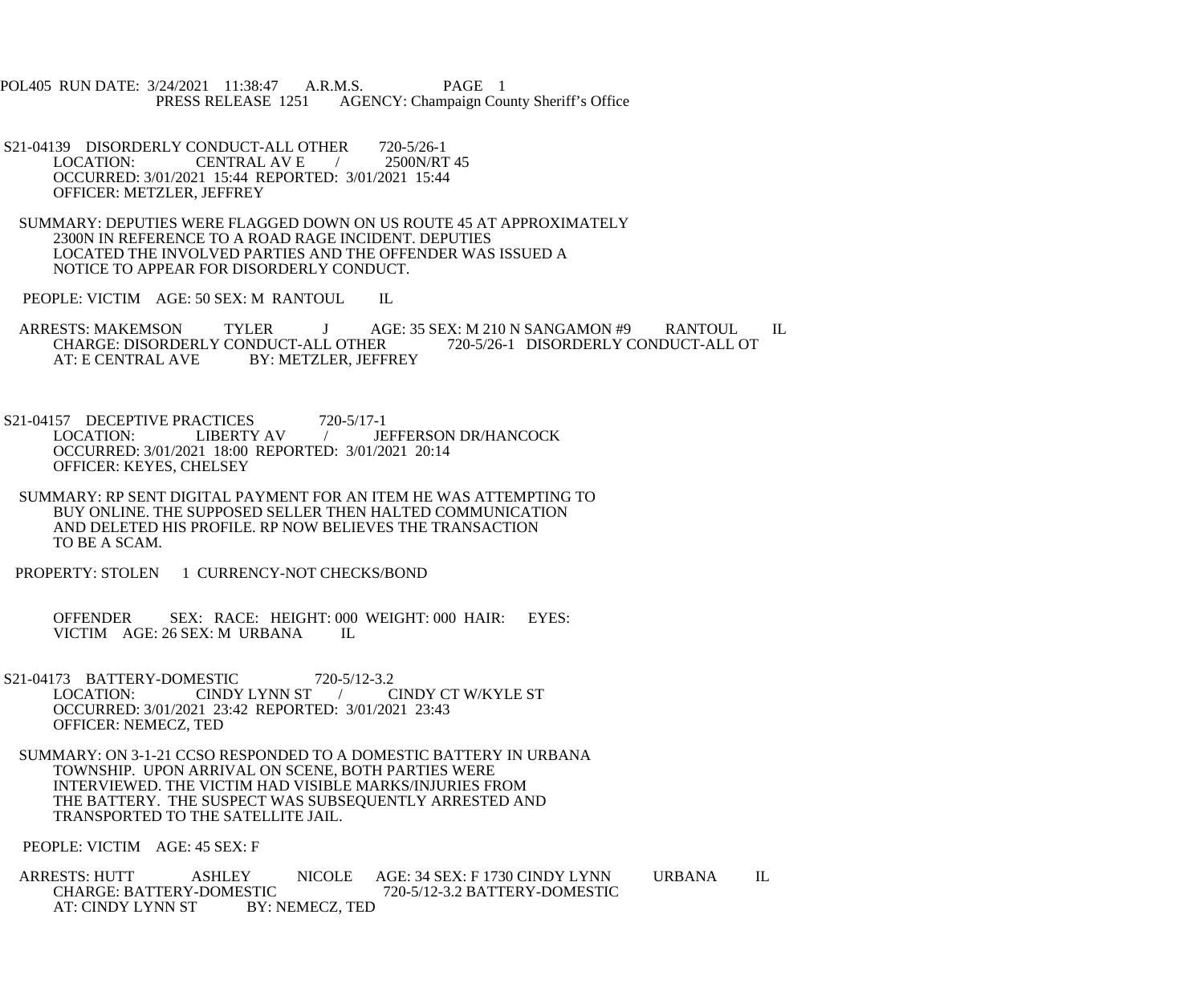POL405 RUN DATE: 3/24/2021 11:38:47 A.R.M.S. PAGE 1<br>PRESS RELEASE 1251 AGENCY: Champaign Cou AGENCY: Champaign County Sheriff's Office

S21-04139 DISORDERLY CONDUCT-ALL OTHER 720-5/26-1<br>LOCATION: CENTRAL AV E / 2500N/RT 45 **CENTRAL AV E**  OCCURRED: 3/01/2021 15:44 REPORTED: 3/01/2021 15:44 OFFICER: METZLER, JEFFREY

 SUMMARY: DEPUTIES WERE FLAGGED DOWN ON US ROUTE 45 AT APPROXIMATELY 2300N IN REFERENCE TO A ROAD RAGE INCIDENT. DEPUTIES LOCATED THE INVOLVED PARTIES AND THE OFFENDER WAS ISSUED A NOTICE TO APPEAR FOR DISORDERLY CONDUCT.

PEOPLE: VICTIM AGE: 50 SEX: M RANTOUL IL

ARRESTS: MAKEMSON TYLER J AGE: 35 SEX: M 210 N SANGAMON #9 RANTOUL IL<br>CHARGE: DISORDERLY CONDUCT-ALL OTHER 720-5/26-1 DISORDERLY CONDUCT-ALL OT CHARGE: DISORDERLY CONDUCT-ALL OTHER<br>AT: E CENTRAL AVE BY: METZLER, JEFF. BY: METZLER, JEFFREY

S21-04157 DECEPTIVE PRACTICES 720-5/17-1<br>LOCATION: LIBERTY AV / JE / JEFFERSON DR/HANCOCK OCCURRED: 3/01/2021 18:00 REPORTED: 3/01/2021 20:14 OFFICER: KEYES, CHELSEY

 SUMMARY: RP SENT DIGITAL PAYMENT FOR AN ITEM HE WAS ATTEMPTING TO BUY ONLINE. THE SUPPOSED SELLER THEN HALTED COMMUNICATION AND DELETED HIS PROFILE. RP NOW BELIEVES THE TRANSACTION TO BE A SCAM.

PROPERTY: STOLEN 1 CURRENCY-NOT CHECKS/BOND

OFFENDER SEX: RACE: HEIGHT: 000 WEIGHT: 000 HAIR: EYES: VICTIM AGE: 26 SEX: M URBANA IL VICTIM AGE: 26 SEX: M URBANA

S21-04173 BATTERY-DOMESTIC 720-5/12-3.2<br>LOCATION: CINDY LYNN ST / CINDY CT W/KYLE ST CINDY LYNN ST / OCCURRED: 3/01/2021 23:42 REPORTED: 3/01/2021 23:43 OFFICER: NEMECZ, TED

 SUMMARY: ON 3-1-21 CCSO RESPONDED TO A DOMESTIC BATTERY IN URBANA TOWNSHIP. UPON ARRIVAL ON SCENE, BOTH PARTIES WERE INTERVIEWED. THE VICTIM HAD VISIBLE MARKS/INJURIES FROM THE BATTERY. THE SUSPECT WAS SUBSEQUENTLY ARRESTED AND TRANSPORTED TO THE SATELLITE JAIL.

PEOPLE: VICTIM AGE: 45 SEX: F

ARRESTS: HUTT ASHLEY NICOLE AGE: 34 SEX: F 1730 CINDY LYNN URBANA IL<br>CHARGE: BATTERY-DOMESTIC 720-5/12-3.2 BATTERY-DOMESTIC STIC 720-5/12-3.2 BATTERY-DOMESTIC<br>BY: NEMECZ, TED AT: CINDY LYNN ST